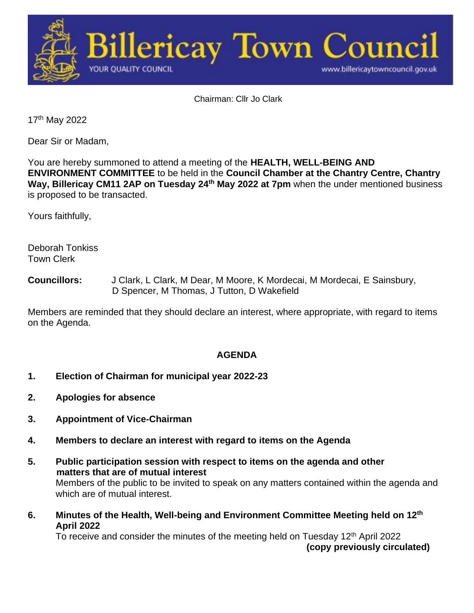

Chairman: Cllr Jo Clark

17 th May 2022

Dear Sir or Madam,

You are hereby summoned to attend a meeting of the **HEALTH, WELL-BEING AND ENVIRONMENT COMMITTEE** to be held in the **Council Chamber at the Chantry Centre, Chantry Way, Billericay CM11 2AP on Tuesday 24 th May 2022 at 7pm** when the under mentioned business is proposed to be transacted.

Yours faithfully,

Deborah Tonkiss Town Clerk

**Councillors:** J Clark, L Clark, M Dear, M Moore, K Mordecai, M Mordecai, E Sainsbury, D Spencer, M Thomas, J Tutton, D Wakefield

Members are reminded that they should declare an interest, where appropriate, with regard to items on the Agenda.

### **AGENDA**

- **1. Election of Chairman for municipal year 2022-23**
- **2. Apologies for absence**
- **3. Appointment of Vice-Chairman**
- **4. Members to declare an interest with regard to items on the Agenda**
- **5. Public participation session with respect to items on the agenda and other matters that are of mutual interest** Members of the public to be invited to speak on any matters contained within the agenda and which are of mutual interest.
- **6. Minutes of the Health, Well-being and Environment Committee Meeting held on 12th April 2022**

To receive and consider the minutes of the meeting held on Tuesday  $12<sup>th</sup>$  April 2022 **(copy previously circulated)**